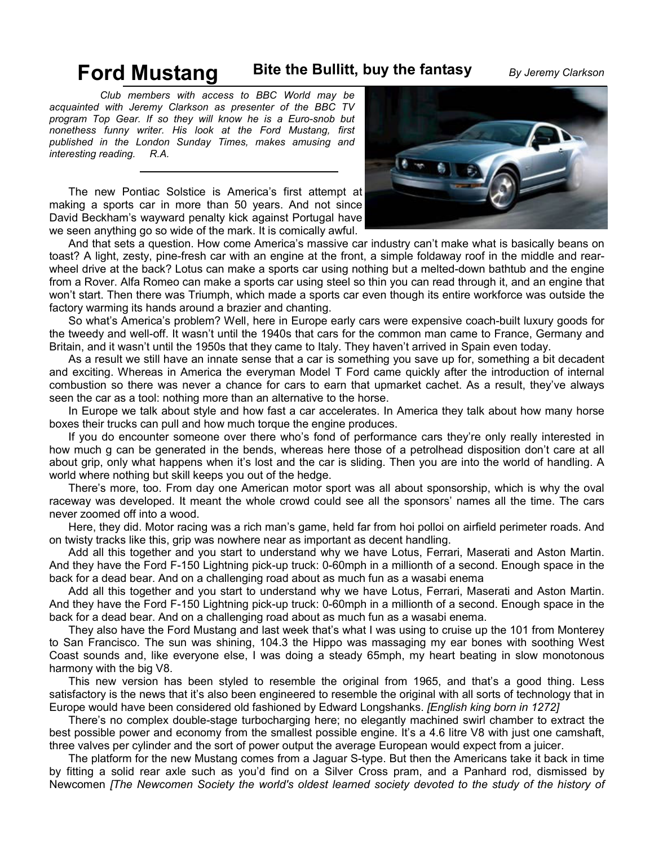## **Ford Mustang** Bite the Bullitt, buy the fantasy By Jeremy Clarkson

 Club members with access to BBC World may be acquainted with Jeremy Clarkson as presenter of the BBC TV program Top Gear. If so they will know he is a Euro-snob but nonethess funny writer. His look at the Ford Mustang, first published in the London Sunday Times, makes amusing and interesting reading. R.A.

The new Pontiac Solstice is America's first attempt at making a sports car in more than 50 years. And not since David Beckham's wayward penalty kick against Portugal have we seen anything go so wide of the mark. It is comically awful.



And that sets a question. How come America's massive car industry can't make what is basically beans on toast? A light, zesty, pine-fresh car with an engine at the front, a simple foldaway roof in the middle and rearwheel drive at the back? Lotus can make a sports car using nothing but a melted-down bathtub and the engine from a Rover. Alfa Romeo can make a sports car using steel so thin you can read through it, and an engine that won't start. Then there was Triumph, which made a sports car even though its entire workforce was outside the factory warming its hands around a brazier and chanting.

So what's America's problem? Well, here in Europe early cars were expensive coach-built luxury goods for the tweedy and well-off. It wasn't until the 1940s that cars for the common man came to France, Germany and Britain, and it wasn't until the 1950s that they came to Italy. They haven't arrived in Spain even today.

As a result we still have an innate sense that a car is something you save up for, something a bit decadent and exciting. Whereas in America the everyman Model T Ford came quickly after the introduction of internal combustion so there was never a chance for cars to earn that upmarket cachet. As a result, they've always seen the car as a tool: nothing more than an alternative to the horse.

In Europe we talk about style and how fast a car accelerates. In America they talk about how many horse boxes their trucks can pull and how much torque the engine produces.

If you do encounter someone over there who's fond of performance cars they're only really interested in how much g can be generated in the bends, whereas here those of a petrolhead disposition don't care at all about grip, only what happens when it's lost and the car is sliding. Then you are into the world of handling. A world where nothing but skill keeps you out of the hedge.

There's more, too. From day one American motor sport was all about sponsorship, which is why the oval raceway was developed. It meant the whole crowd could see all the sponsors' names all the time. The cars never zoomed off into a wood.

Here, they did. Motor racing was a rich man's game, held far from hoi polloi on airfield perimeter roads. And on twisty tracks like this, grip was nowhere near as important as decent handling.

Add all this together and you start to understand why we have Lotus, Ferrari, Maserati and Aston Martin. And they have the Ford F-150 Lightning pick-up truck: 0-60mph in a millionth of a second. Enough space in the back for a dead bear. And on a challenging road about as much fun as a wasabi enema

Add all this together and you start to understand why we have Lotus, Ferrari, Maserati and Aston Martin. And they have the Ford F-150 Lightning pick-up truck: 0-60mph in a millionth of a second. Enough space in the back for a dead bear. And on a challenging road about as much fun as a wasabi enema.

They also have the Ford Mustang and last week that's what I was using to cruise up the 101 from Monterey to San Francisco. The sun was shining, 104.3 the Hippo was massaging my ear bones with soothing West Coast sounds and, like everyone else, I was doing a steady 65mph, my heart beating in slow monotonous harmony with the big V8.

This new version has been styled to resemble the original from 1965, and that's a good thing. Less satisfactory is the news that it's also been engineered to resemble the original with all sorts of technology that in Europe would have been considered old fashioned by Edward Longshanks. [English king born in 1272]

There's no complex double-stage turbocharging here; no elegantly machined swirl chamber to extract the best possible power and economy from the smallest possible engine. It's a 4.6 litre V8 with just one camshaft, three valves per cylinder and the sort of power output the average European would expect from a juicer.

The platform for the new Mustang comes from a Jaguar S-type. But then the Americans take it back in time by fitting a solid rear axle such as you'd find on a Silver Cross pram, and a Panhard rod, dismissed by Newcomen [The Newcomen Society the world's oldest learned society devoted to the study of the history of